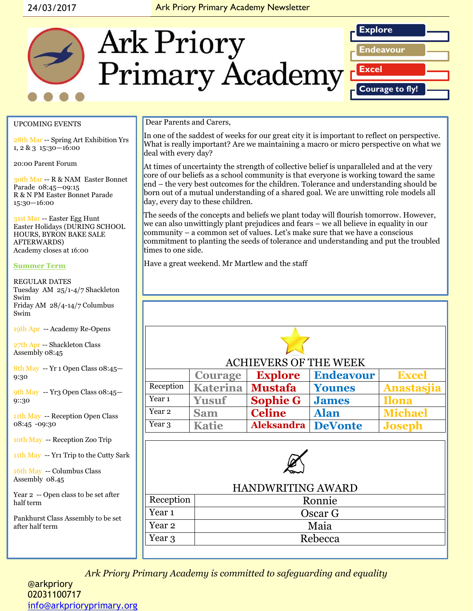#### 24/03/2017 Ark Priory Primary Academy Newsletter



#### UPCOMING EVENTS

28th Mar -- Spring Art Exhibition Yrs 1, 2 & 3 15:30—16:00

20:00 Parent Forum

30th Mar -- R & NAM Easter Bonnet Parade 08:45—09:15 R & N PM Easter Bonnet Parade 15:30—16:00

31st Mar -- Easter Egg Hunt Easter Holidays (DURING SCHOOL HOURS, BYRON BAKE SALE AFTERWARDS) Academy closes at 16:00

#### **Summer Term**

REGULAR DATES Tuesday AM 25/1-4/7 Shackleton Swim Friday AM 28/4-14/7 Columbus Swim

19th Apr -- Academy Re-Opens

27th Apr -- Shackleton Class Assembly 08:45

8th May -- Yr 1 Open Class 08:45— 9:30

9th May -- Yr3 Open Class 08:45— 9::30

11th May -- Reception Open Class 08:45 -09:30

10th May -- Reception Zoo Trip

11th May -- Yr1 Trip to the Cutty Sark

16th May -- Columbus Class Assembly 08.45

Year 2 -- Open class to be set after half term

Pankhurst Class Assembly to be set after half term

Dear Parents and Carers,

In one of the saddest of weeks for our great city it is important to reflect on perspective. What is really important? Are we maintaining a macro or micro perspective on what we deal with every day?

At times of uncertainty the strength of collective belief is unparalleled and at the very core of our beliefs as a school community is that everyone is working toward the same end – the very best outcomes for the children. Tolerance and understanding should be born out of a mutual understanding of a shared goal. We are unwitting role models all day, every day to these children.

The seeds of the concepts and beliefs we plant today will flourish tomorrow. However, we can also unwittingly plant prejudices and fears – we all believe in equality in our community – a common set of values. Let's make sure that we have a conscious commitment to planting the seeds of tolerance and understanding and put the troubled times to one side.

Have a great weekend. Mr Martlew and the staff

| <b>ACHIEVERS OF THE WEEK</b> |                    |                   |                  |                |  |
|------------------------------|--------------------|-------------------|------------------|----------------|--|
|                              | <b>Courage</b>     | <b>Explore</b>    | <b>Endeavour</b> | <b>Excel</b>   |  |
| Reception                    | Katerina   Mustafa |                   | <b>Younes</b>    | Anastasjia     |  |
| Year 1                       | <b>Yusuf</b>       | <b>Sophie G</b>   | <b>James</b>     | <b>Ilona</b>   |  |
| Year 2                       | <b>Sam</b>         | <b>Celine</b>     | <b>Alan</b>      | <b>Michael</b> |  |
| Year 3                       | <b>Katie</b>       | <b>Aleksandra</b> | <b>DeVonte</b>   | <b>Joseph</b>  |  |
|                              |                    |                   |                  |                |  |



#### HANDWRITING AWARD

| Reception         | Ronnie  |  |  |
|-------------------|---------|--|--|
| Year <sub>1</sub> | Oscar G |  |  |
| Year 2            | Maia    |  |  |
| Year 3            | Rebecca |  |  |
|                   |         |  |  |

*Ark Priory Primary Academy is committed to safeguarding and equality* 

@arkpriory 02031100717 [info@arkprioryprimary.org](mailto:info@arkprioryprimary.org)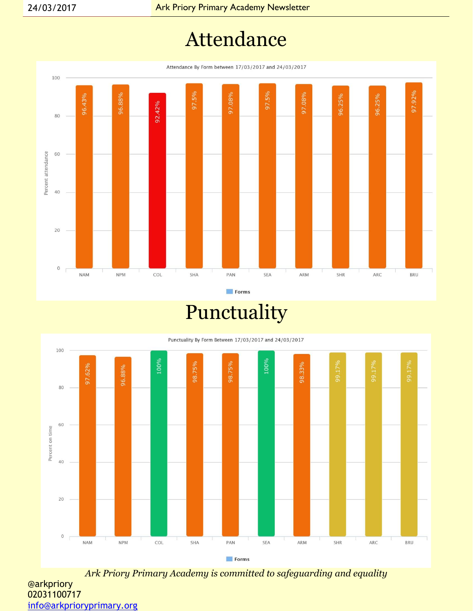## Attendance

Attendance By Form between 17/03/2017 and 24/03/2017



Forms

Punctuality

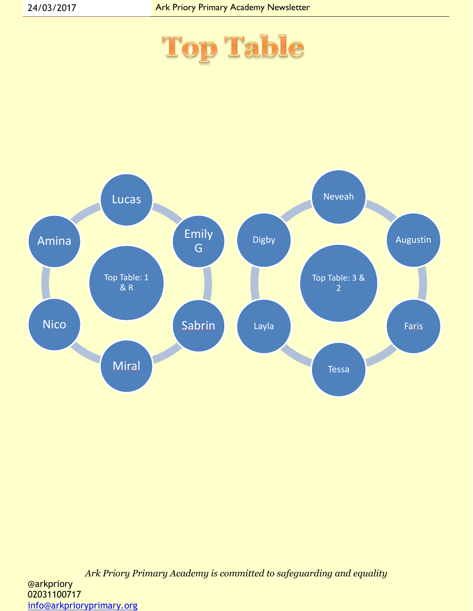

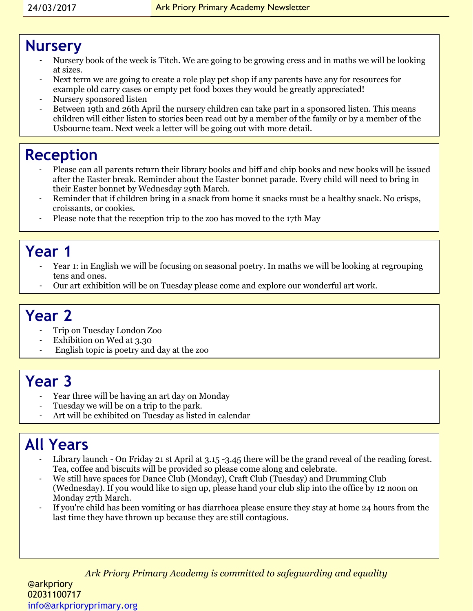#### **Nursery**

- Nursery book of the week is Titch. We are going to be growing cress and in maths we will be looking at sizes.
- Next term we are going to create a role play pet shop if any parents have any for resources for example old carry cases or empty pet food boxes they would be greatly appreciated!
- Nursery sponsored listen
- Between 19th and 26th April the nursery children can take part in a sponsored listen. This means children will either listen to stories been read out by a member of the family or by a member of the Usbourne team. Next week a letter will be going out with more detail.

## **Reception**

- Please can all parents return their library books and biff and chip books and new books will be issued after the Easter break. Reminder about the Easter bonnet parade. Every child will need to bring in their Easter bonnet by Wednesday 29th March.
- Reminder that if children bring in a snack from home it snacks must be a healthy snack. No crisps, croissants, or cookies.
- Please note that the reception trip to the zoo has moved to the 17th May

### **Year 1**

- Year 1: in English we will be focusing on seasonal poetry. In maths we will be looking at regrouping tens and ones.
- Our art exhibition will be on Tuesday please come and explore our wonderful art work.

## **Year 2**

- Trip on Tuesday London Zoo
- Exhibition on Wed at 3.30
- English topic is poetry and day at the zoo

#### **Year 3**

- Year three will be having an art day on Monday
- Tuesday we will be on a trip to the park.
- Art will be exhibited on Tuesday as listed in calendar

## **All Years**

- Library launch On Friday 21 st April at 3.15 -3.45 there will be the grand reveal of the reading forest. Tea, coffee and biscuits will be provided so please come along and celebrate.
- We still have spaces for Dance Club (Monday), Craft Club (Tuesday) and Drumming Club (Wednesday). If you would like to sign up, please hand your club slip into the office by 12 noon on Monday 27th March.
- If you're child has been vomiting or has diarrhoea please ensure they stay at home 24 hours from the last time they have thrown up because they are still contagious.